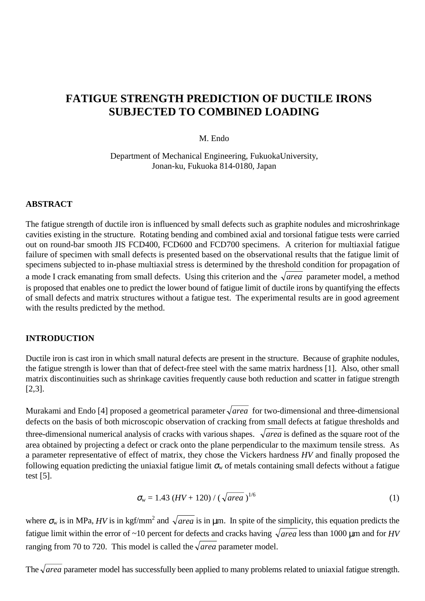## **FATIGUE STRENGTH PREDICTION OF DUCTILE IRONS SUBJECTED TO COMBINED LOADING**

#### M. Endo

Department of Mechanical Engineering, FukuokaUniversity, Jonan-ku, Fukuoka 814-0180, Japan

#### **ABSTRACT**

The fatigue strength of ductile iron is influenced by small defects such as graphite nodules and microshrinkage cavities existing in the structure. Rotating bending and combined axial and torsional fatigue tests were carried out on round-bar smooth JIS FCD400, FCD600 and FCD700 specimens. A criterion for multiaxial fatigue failure of specimen with small defects is presented based on the observational results that the fatigue limit of specimens subjected to in-phase multiaxial stress is determined by the threshold condition for propagation of a mode I crack emanating from small defects. Using this criterion and the  $\sqrt{area}$  parameter model, a method is proposed that enables one to predict the lower bound of fatigue limit of ductile irons by quantifying the effects of small defects and matrix structures without a fatigue test. The experimental results are in good agreement with the results predicted by the method.

#### **INTRODUCTION**

Ductile iron is cast iron in which small natural defects are present in the structure. Because of graphite nodules, the fatigue strength is lower than that of defect-free steel with the same matrix hardness [1]. Also, other small matrix discontinuities such as shrinkage cavities frequently cause both reduction and scatter in fatigue strength [2,3].

Murakami and Endo [4] proposed a geometrical parameter  $\sqrt{area}$  for two-dimensional and three-dimensional defects on the basis of both microscopic observation of cracking from small defects at fatigue thresholds and three-dimensional numerical analysis of cracks with various shapes.  $\sqrt{area}$  is defined as the square root of the area obtained by projecting a defect or crack onto the plane perpendicular to the maximum tensile stress. As a parameter representative of effect of matrix, they chose the Vickers hardness *HV* and finally proposed the following equation predicting the uniaxial fatigue limit  $\sigma_w$  of metals containing small defects without a fatigue test [5].

$$
\sigma_{\rm w} = 1.43 \ (HV + 120) / (\sqrt{\text{area}})^{1/6} \tag{1}
$$

where  $\sigma_w$  is in MPa, *HV* is in kgf/mm<sup>2</sup> and  $\sqrt{area}$  is in  $\mu$ m. In spite of the simplicity, this equation predicts the fatigue limit within the error of ~10 percent for defects and cracks having  $\sqrt{area}$  less than 1000 µm and for *HV* ranging from 70 to 720. This model is called the  $\sqrt{area}$  parameter model.

The  $\sqrt{area}$  parameter model has successfully been applied to many problems related to uniaxial fatigue strength.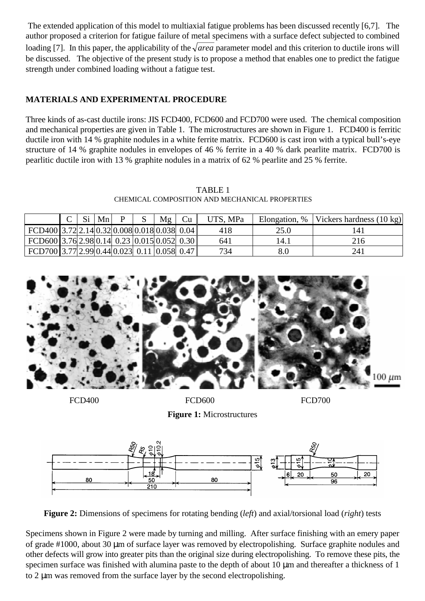The extended application of this model to multiaxial fatigue problems has been discussed recently [6,7]. The author proposed a criterion for fatigue failure of metal specimens with a surface defect subjected to combined loading [7]. In this paper, the applicability of the  $\sqrt{area}$  parameter model and this criterion to ductile irons will be discussed. The objective of the present study is to propose a method that enables one to predict the fatigue strength under combined loading without a fatigue test.

## **MATERIALS AND EXPERIMENTAL PROCEDURE**

Three kinds of as-cast ductile irons: JIS FCD400, FCD600 and FCD700 were used. The chemical composition and mechanical properties are given in Table 1. The microstructures are shown in Figure 1. FCD400 is ferritic ductile iron with 14 % graphite nodules in a white ferrite matrix. FCD600 is cast iron with a typical bull's-eye structure of 14 % graphite nodules in envelopes of 46 % ferrite in a 40 % dark pearlite matrix. FCD700 is pearlitic ductile iron with 13 % graphite nodules in a matrix of 62 % pearlite and 25 % ferrite.

TABLE 1 CHEMICAL COMPOSITION AND MECHANICAL PROPERTIES

|                                              | $\mathcal{C}$ | Si | Mn |  | Mg | Cu | UTS, MPa | Elongation, % | Vickers hardness $(10 \text{ kg})$ |
|----------------------------------------------|---------------|----|----|--|----|----|----------|---------------|------------------------------------|
| FCD400 3.72 2.14 0.32 0.008 0.018 0.038 0.04 |               |    |    |  |    |    | 418      | 25.0          | L41                                |
| FCD600 3.76 2.98 0.14 0.23 0.015 0.052 0.30  |               |    |    |  |    |    | 641      | 14.1          | 216                                |
| FCD700 3.77 2.99 0.44 0.023 0.11 0.058 0.47  |               |    |    |  |    |    | 734      |               | 241                                |



FCD400 FCD600 FCD600 FCD700

**Figure 1:** Microstructures



**Figure 2:** Dimensions of specimens for rotating bending (*left*) and axial/torsional load (*right*) tests

Specimens shown in Figure 2 were made by turning and milling. After surface finishing with an emery paper of grade #1000, about 30 µm of surface layer was removed by electropolishing. Surface graphite nodules and other defects will grow into greater pits than the original size during electropolishing. To remove these pits, the specimen surface was finished with alumina paste to the depth of about 10  $\mu$ m and thereafter a thickness of 1 to 2 µm was removed from the surface layer by the second electropolishing.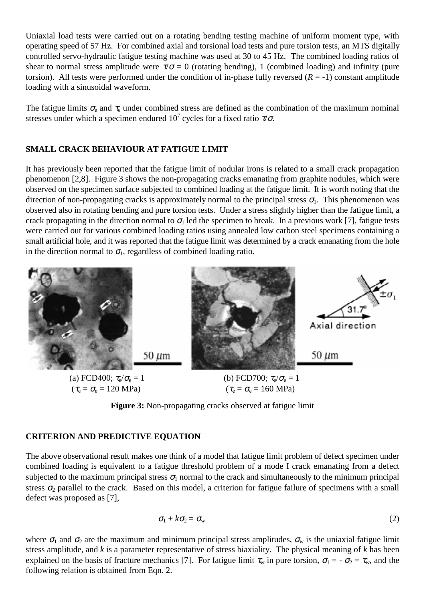Uniaxial load tests were carried out on a rotating bending testing machine of uniform moment type, with operating speed of 57 Hz. For combined axial and torsional load tests and pure torsion tests, an MTS digitally controlled servo-hydraulic fatigue testing machine was used at 30 to 45 Hz. The combined loading ratios of shear to normal stress amplitude were  $\tau/\sigma = 0$  (rotating bending), 1 (combined loading) and infinity (pure torsion). All tests were performed under the condition of in-phase fully reversed  $(R = -1)$  constant amplitude loading with a sinusoidal waveform.

The fatigue limits  $\sigma_e$  and  $\tau_e$  under combined stress are defined as the combination of the maximum nominal stresses under which a specimen endured  $10^7$  cycles for a fixed ratio  $\tau/\sigma$ .

## **SMALL CRACK BEHAVIOUR AT FATIGUE LIMIT**

It has previously been reported that the fatigue limit of nodular irons is related to a small crack propagation phenomenon [2,8]. Figure 3 shows the non-propagating cracks emanating from graphite nodules, which were observed on the specimen surface subjected to combined loading at the fatigue limit. It is worth noting that the direction of non-propagating cracks is approximately normal to the principal stress  $\sigma_1$ . This phenomenon was observed also in rotating bending and pure torsion tests. Under a stress slightly higher than the fatigue limit, a crack propagating in the direction normal to  $\sigma_1$  led the specimen to break. In a previous work [7], fatigue tests were carried out for various combined loading ratios using annealed low carbon steel specimens containing a small artificial hole, and it was reported that the fatigue limit was determined by a crack emanating from the hole in the direction normal to  $\sigma_1$ , regardless of combined loading ratio.



**Figure 3:** Non-propagating cracks observed at fatigue limit

## **CRITERION AND PREDICTIVE EQUATION**

The above observational result makes one think of a model that fatigue limit problem of defect specimen under combined loading is equivalent to a fatigue threshold problem of a mode I crack emanating from a defect subjected to the maximum principal stress  $\sigma_1$  normal to the crack and simultaneously to the minimum principal stress  $\sigma_2$  parallel to the crack. Based on this model, a criterion for fatigue failure of specimens with a small defect was proposed as [7],

$$
\sigma_1 + k \sigma_2 = \sigma_{\rm w} \tag{2}
$$

where  $\sigma_1$  and  $\sigma_2$  are the maximum and minimum principal stress amplitudes,  $\sigma_w$  is the uniaxial fatigue limit stress amplitude, and *k* is a parameter representative of stress biaxiality. The physical meaning of *k* has been explained on the basis of fracture mechanics [7]. For fatigue limit  $\tau_w$  in pure torsion,  $\sigma_1 = -\sigma_2 = \tau_w$ , and the following relation is obtained from Eqn. 2.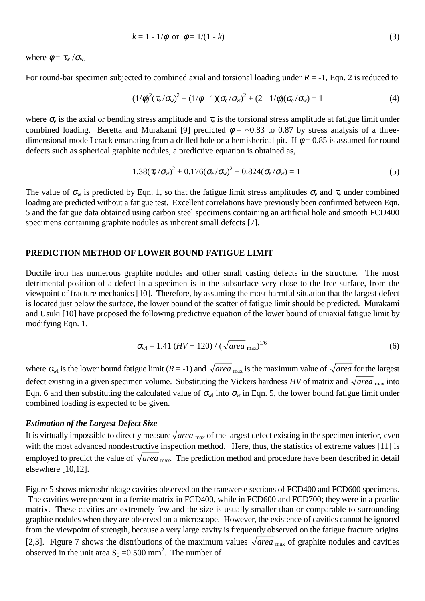$$
k = 1 - 1/\phi
$$
 or  $\phi = 1/(1 - k)$  (3)

where  $\phi = \tau_{\rm w}/\sigma_{\rm w}$ .

For round-bar specimen subjected to combined axial and torsional loading under  $R = -1$ , Eqn. 2 is reduced to

$$
(1/\phi)^2(\tau_e/\sigma_w)^2 + (1/\phi - 1)(\sigma_e/\sigma_w)^2 + (2 - 1/\phi)(\sigma_e/\sigma_w) = 1
$$
\n(4)

where  $\sigma_e$  is the axial or bending stress amplitude and  $\tau_e$  is the torsional stress amplitude at fatigue limit under combined loading. Beretta and Murakami [9] predicted  $\phi = -0.83$  to 0.87 by stress analysis of a threedimensional mode I crack emanating from a drilled hole or a hemisherical pit. If  $\phi = 0.85$  is assumed for round defects such as spherical graphite nodules, a predictive equation is obtained as,

$$
1.38(\tau_{\rm e}/\sigma_{\rm w})^2 + 0.176(\sigma_{\rm e}/\sigma_{\rm w})^2 + 0.824(\sigma_{\rm e}/\sigma_{\rm w}) = 1
$$
\n(5)

The value of  $\sigma_w$  is predicted by Eqn. 1, so that the fatigue limit stress amplitudes  $\sigma_e$  and  $\tau_e$  under combined loading are predicted without a fatigue test. Excellent correlations have previously been confirmed between Eqn. 5 and the fatigue data obtained using carbon steel specimens containing an artificial hole and smooth FCD400 specimens containing graphite nodules as inherent small defects [7].

#### **PREDICTION METHOD OF LOWER BOUND FATIGUE LIMIT**

Ductile iron has numerous graphite nodules and other small casting defects in the structure. The most detrimental position of a defect in a specimen is in the subsurface very close to the free surface, from the viewpoint of fracture mechanics [10]. Therefore, by assuming the most harmful situation that the largest defect is located just below the surface, the lower bound of the scatter of fatigue limit should be predicted. Murakami and Usuki [10] have proposed the following predictive equation of the lower bound of uniaxial fatigue limit by modifying Eqn. 1.

$$
\sigma_{\rm w1} = 1.41 \, (HV + 120) / (\sqrt{\text{area}}_{\rm max})^{1/6} \tag{6}
$$

where  $\sigma_{wl}$  is the lower bound fatigue limit (*R* = -1) and  $\sqrt{area_{max}}$  is the maximum value of  $\sqrt{area_{max}}$  for the largest defect existing in a given specimen volume. Substituting the Vickers hardness *HV* of matrix and  $\sqrt{area_{\text{max}}}$  into Eqn. 6 and then substituting the calculated value of  $\sigma_{w}$  into  $\sigma_{w}$  in Eqn. 5, the lower bound fatigue limit under combined loading is expected to be given.

#### *Estimation of the Largest Defect Size*

It is virtually impossible to directly measure  $\sqrt{area_{\text{max}}}$  of the largest defect existing in the specimen interior, even with the most advanced nondestructive inspection method. Here, thus, the statistics of extreme values [11] is employed to predict the value of  $\sqrt{area_{\text{max}}}$ . The prediction method and procedure have been described in detail elsewhere [10,12].

Figure 5 shows microshrinkage cavities observed on the transverse sections of FCD400 and FCD600 specimens. The cavities were present in a ferrite matrix in FCD400, while in FCD600 and FCD700; they were in a pearlite matrix. These cavities are extremely few and the size is usually smaller than or comparable to surrounding graphite nodules when they are observed on a microscope. However, the existence of cavities cannot be ignored from the viewpoint of strength, because a very large cavity is frequently observed on the fatigue fracture origins [2,3]. Figure 7 shows the distributions of the maximum values  $\sqrt{area_{\text{max}}}$  of graphite nodules and cavities observed in the unit area  $S_0 = 0.500$  mm<sup>2</sup>. The number of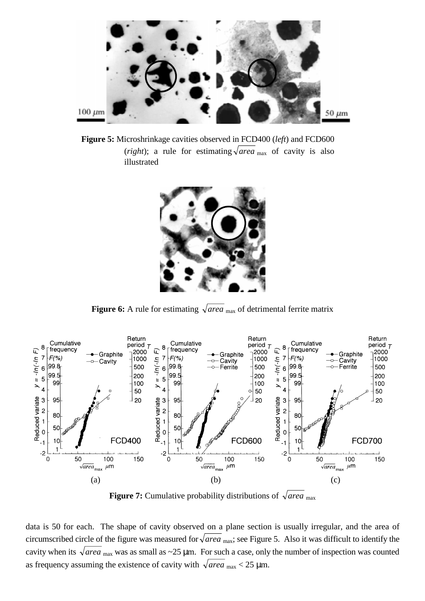

**Figure 5:** Microshrinkage cavities observed in FCD400 (*left*) and FCD600 (*right*); a rule for estimating  $\sqrt{area_{\text{max}}}$  of cavity is also illustrated



**Figure 6:** A rule for estimating  $\sqrt{area_{max}}$  of detrimental ferrite matrix



**Figure 7:** Cumulative probability distributions of  $\sqrt{area_{max}}$ 

data is 50 for each. The shape of cavity observed on a plane section is usually irregular, and the area of circumscribed circle of the figure was measured for  $\sqrt{area_{\text{max}}}$ ; see Figure 5. Also it was difficult to identify the cavity when its  $\sqrt{area_{\text{max}}}$  was as small as ~25 µm. For such a case, only the number of inspection was counted as frequency assuming the existence of cavity with  $\sqrt{area_{max}}$  < 25 µm.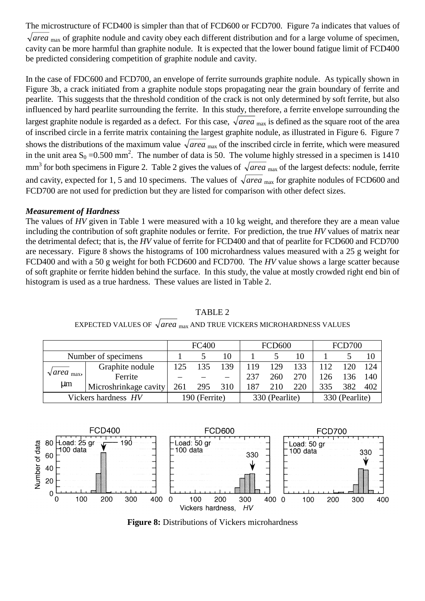The microstructure of FCD400 is simpler than that of FCD600 or FCD700. Figure 7a indicates that values of  $\sqrt{area}$ <sub>max</sub> of graphite nodule and cavity obey each different distribution and for a large volume of specimen, cavity can be more harmful than graphite nodule. It is expected that the lower bound fatigue limit of FCD400 be predicted considering competition of graphite nodule and cavity.

In the case of FDC600 and FCD700, an envelope of ferrite surrounds graphite nodule. As typically shown in Figure 3b, a crack initiated from a graphite nodule stops propagating near the grain boundary of ferrite and pearlite. This suggests that the threshold condition of the crack is not only determined by soft ferrite, but also influenced by hard pearlite surrounding the ferrite. In this study, therefore, a ferrite envelope surrounding the largest graphite nodule is regarded as a defect. For this case,  $\sqrt{area_{max}}$  is defined as the square root of the area of inscribed circle in a ferrite matrix containing the largest graphite nodule, as illustrated in Figure 6. Figure 7 shows the distributions of the maximum value  $\sqrt{area_{max}}$  of the inscribed circle in ferrite, which were measured in the unit area  $S_0 = 0.500$  mm<sup>2</sup>. The number of data is 50. The volume highly stressed in a specimen is 1410 mm<sup>3</sup> for both specimens in Figure 2. Table 2 gives the values of  $\sqrt{area_{max}}$  of the largest defects: nodule, ferrite and cavity, expected for 1, 5 and 10 specimens. The values of  $\sqrt{area_{\text{max}}}$  for graphite nodules of FCD600 and FCD700 are not used for prediction but they are listed for comparison with other defect sizes.

## *Measurement of Hardness*

The values of *HV* given in Table 1 were measured with a 10 kg weight, and therefore they are a mean value including the contribution of soft graphite nodules or ferrite. For prediction, the true *HV* values of matrix near the detrimental defect; that is, the *HV* value of ferrite for FCD400 and that of pearlite for FCD600 and FCD700 are necessary. Figure 8 shows the histograms of 100 microhardness values measured with a 25 g weight for FCD400 and with a 50 g weight for both FCD600 and FCD700. The *HV* value shows a large scatter because of soft graphite or ferrite hidden behind the surface. In this study, the value at mostly crowded right end bin of histogram is used as a true hardness. These values are listed in Table 2.

|                                       | <b>FC400</b>          |               |     | <b>FCD600</b> |                |     | <b>FCD700</b> |                |     |      |
|---------------------------------------|-----------------------|---------------|-----|---------------|----------------|-----|---------------|----------------|-----|------|
| Number of specimens                   |                       |               | 10  |               |                | 10  |               |                |     |      |
| $\sqrt{area_{\text{max}}}$<br>$\mu$ m | Graphite nodule       | 125           |     | 139           | 119            | 129 | 133           |                | 120 | -124 |
|                                       | Ferrite               |               |     |               | 237            | 260 | 270           | 126            | 136 | 140  |
|                                       | Microshrinkage cavity | 261           | 295 | 310           | 187            | 210 | 220           | 335            | 382 | 402  |
| Vickers hardness HV                   |                       | 190 (Ferrite) |     |               | 330 (Pearlite) |     |               | 330 (Pearlite) |     |      |

# TABLE 2



EXPECTED VALUES OF  $\sqrt{area_{\text{max}}}$  AND TRUE VICKERS MICROHARDNESS VALUES

**Figure 8:** Distributions of Vickers microhardness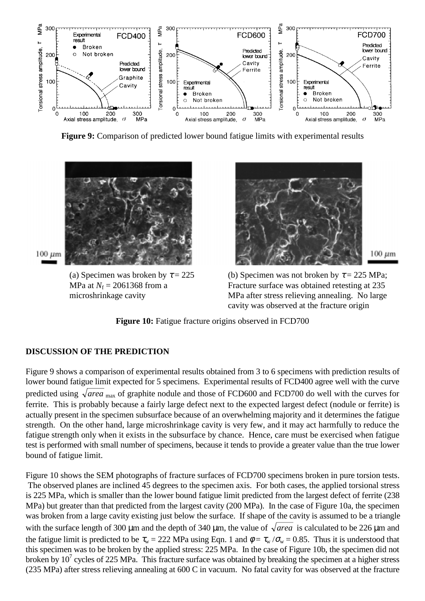

**Figure 9:** Comparison of predicted lower bound fatigue limits with experimental results



 $100 \ \mu m$ 

(a) Specimen was broken by  $\tau = 225$ MPa at  $N_f = 2061368$  from a microshrinkage cavity



(b) Specimen was not broken by  $\tau = 225$  MPa; Fracture surface was obtained retesting at 235 MPa after stress relieving annealing. No large cavity was observed at the fracture origin

Figure 10: Fatigue fracture origins observed in FCD700

## **DISCUSSION OF THE PREDICTION**

Figure 9 shows a comparison of experimental results obtained from 3 to 6 specimens with prediction results of lower bound fatigue limit expected for 5 specimens. Experimental results of FCD400 agree well with the curve predicted using  $\sqrt{area_{max}}$  of graphite nodule and those of FCD600 and FCD700 do well with the curves for ferrite. This is probably because a fairly large defect next to the expected largest defect (nodule or ferrite) is actually present in the specimen subsurface because of an overwhelming majority and it determines the fatigue strength. On the other hand, large microshrinkage cavity is very few, and it may act harmfully to reduce the fatigue strength only when it exists in the subsurface by chance. Hence, care must be exercised when fatigue test is performed with small number of specimens, because it tends to provide a greater value than the true lower bound of fatigue limit.

Figure 10 shows the SEM photographs of fracture surfaces of FCD700 specimens broken in pure torsion tests. The observed planes are inclined 45 degrees to the specimen axis. For both cases, the applied torsional stress is 225 MPa, which is smaller than the lower bound fatigue limit predicted from the largest defect of ferrite (238 MPa) but greater than that predicted from the largest cavity (200 MPa). In the case of Figure 10a, the specimen was broken from a large cavity existing just below the surface. If shape of the cavity is assumed to be a triangle with the surface length of 300  $\mu$ m and the depth of 340  $\mu$ m, the value of  $\sqrt{area}$  is calculated to be 226  $\mu$ m and the fatigue limit is predicted to be  $\tau_w = 222$  MPa using Eqn. 1 and  $\phi = \tau_w / \sigma_w = 0.85$ . Thus it is understood that this specimen was to be broken by the applied stress: 225 MPa. In the case of Figure 10b, the specimen did not broken by  $10^7$  cycles of 225 MPa. This fracture surface was obtained by breaking the specimen at a higher stress (235 MPa) after stress relieving annealing at 600 C in vacuum. No fatal cavity for was observed at the fracture